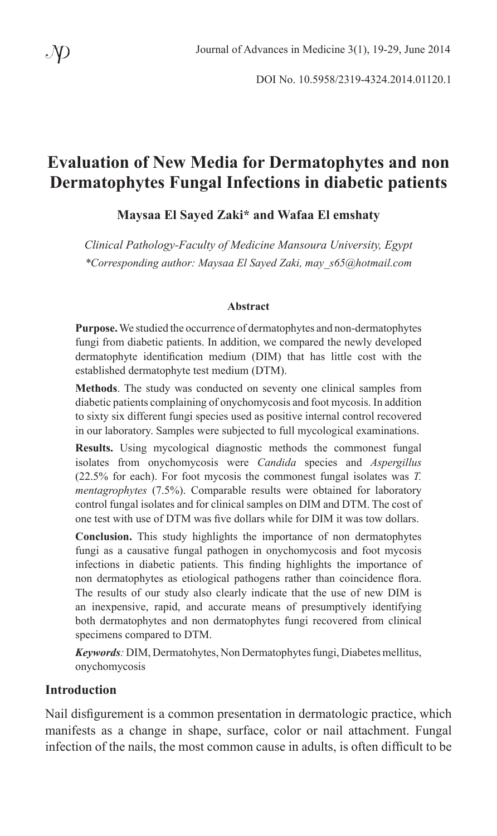DOI No. 10.5958/2319-4324.2014.01120.1

## **Evaluation of New Media for Dermatophytes and non Dermatophytes Fungal Infections in diabetic patients**

#### **Maysaa El Sayed Zaki\* and Wafaa El emshaty**

*Clinical Pathology-Faculty of Medicine Mansoura University, Egypt \*Corresponding author: Maysaa El Sayed Zaki, may\_s65@hotmail.com*

#### **Abstract**

**Purpose.** We studied the occurrence of dermatophytes and non-dermatophytes fungi from diabetic patients. In addition, we compared the newly developed dermatophyte identification medium (DIM) that has little cost with the established dermatophyte test medium (DTM).

**Methods**. The study was conducted on seventy one clinical samples from diabetic patients complaining of onychomycosis and foot mycosis. In addition to sixty six different fungi species used as positive internal control recovered in our laboratory. Samples were subjected to full mycological examinations.

**Results.** Using mycological diagnostic methods the commonest fungal isolates from onychomycosis were *Candida* species and *Aspergillus* (22.5% for each). For foot mycosis the commonest fungal isolates was *T. mentagrophytes* (7.5%). Comparable results were obtained for laboratory control fungal isolates and for clinical samples on DIM and DTM. The cost of one test with use of DTM was five dollars while for DIM it was tow dollars.

**Conclusion.** This study highlights the importance of non dermatophytes fungi as a causative fungal pathogen in onychomycosis and foot mycosis infections in diabetic patients. This finding highlights the importance of non dermatophytes as etiological pathogens rather than coincidence flora. The results of our study also clearly indicate that the use of new DIM is an inexpensive, rapid, and accurate means of presumptively identifying both dermatophytes and non dermatophytes fungi recovered from clinical specimens compared to DTM.

*Keywords:* DIM, Dermatohytes, Non Dermatophytes fungi, Diabetes mellitus, onychomycosis

#### **Introduction**

Nail disfigurement is a common presentation in dermatologic practice, which manifests as a change in shape, surface, color or nail attachment. Fungal infection of the nails, the most common cause in adults, is often difficult to be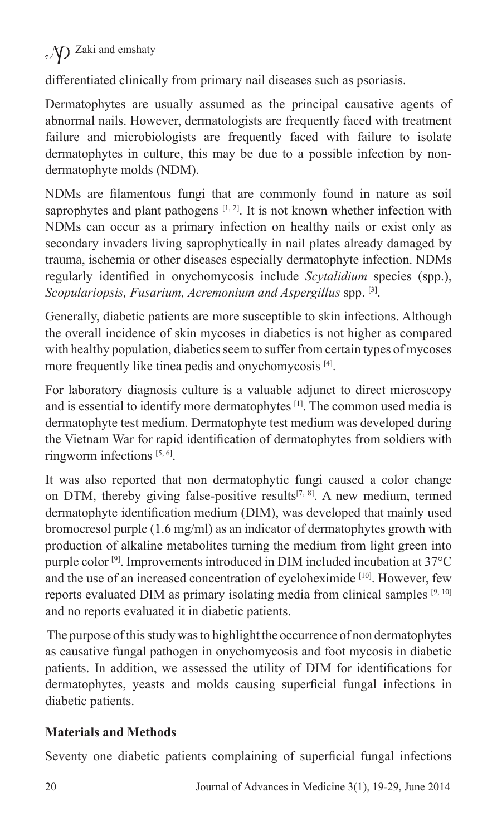differentiated clinically from primary nail diseases such as psoriasis.

Dermatophytes are usually assumed as the principal causative agents of abnormal nails. However, dermatologists are frequently faced with treatment failure and microbiologists are frequently faced with failure to isolate dermatophytes in culture, this may be due to a possible infection by nondermatophyte molds (NDM).

NDMs are filamentous fungi that are commonly found in nature as soil saprophytes and plant pathogens  $[1, 2]$ . It is not known whether infection with NDMs can occur as a primary infection on healthy nails or exist only as secondary invaders living saprophytically in nail plates already damaged by trauma, ischemia or other diseases especially dermatophyte infection. NDMs regularly identified in onychomycosis include *Scytalidium* species (spp.), *Scopulariopsis, Fusarium, Acremonium and Aspergillus* spp. [3].

Generally, diabetic patients are more susceptible to skin infections. Although the overall incidence of skin mycoses in diabetics is not higher as compared with healthy population, diabetics seem to suffer from certain types of mycoses more frequently like tinea pedis and onychomycosis [4].

For laboratory diagnosis culture is a valuable adjunct to direct microscopy and is essential to identify more dermatophytes [1]. The common used media is dermatophyte test medium. Dermatophyte test medium was developed during the Vietnam War for rapid identification of dermatophytes from soldiers with ringworm infections [5, 6].

It was also reported that non dermatophytic fungi caused a color change on DTM, thereby giving false-positive results<sup>[7, 8]</sup>. A new medium, termed dermatophyte identification medium (DIM), was developed that mainly used bromocresol purple (1.6 mg/ml) as an indicator of dermatophytes growth with production of alkaline metabolites turning the medium from light green into purple color [9]. Improvements introduced in DIM included incubation at 37°C and the use of an increased concentration of cycloheximide [10]. However, few reports evaluated DIM as primary isolating media from clinical samples  $[9, 10]$ and no reports evaluated it in diabetic patients.

 The purpose of this study was to highlight the occurrence of non dermatophytes as causative fungal pathogen in onychomycosis and foot mycosis in diabetic patients. In addition, we assessed the utility of DIM for identifications for dermatophytes, yeasts and molds causing superficial fungal infections in diabetic patients.

#### **Materials and Methods**

Seventy one diabetic patients complaining of superficial fungal infections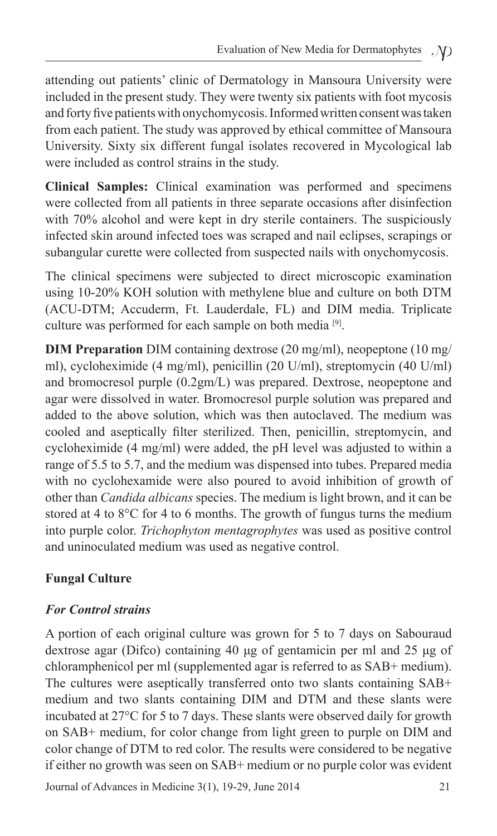attending out patients' clinic of Dermatology in Mansoura University were included in the present study. They were twenty six patients with foot mycosis and forty five patients with onychomycosis. Informed written consent was taken from each patient. The study was approved by ethical committee of Mansoura University. Sixty six different fungal isolates recovered in Mycological lab were included as control strains in the study.

**Clinical Samples:** Clinical examination was performed and specimens were collected from all patients in three separate occasions after disinfection with 70% alcohol and were kept in dry sterile containers. The suspiciously infected skin around infected toes was scraped and nail eclipses, scrapings or subangular curette were collected from suspected nails with onychomycosis.

The clinical specimens were subjected to direct microscopic examination using 10-20% KOH solution with methylene blue and culture on both DTM (ACU-DTM; Accuderm, Ft. Lauderdale, FL) and DIM media. Triplicate culture was performed for each sample on both media [9].

**DIM Preparation** DIM containing dextrose (20 mg/ml), neopeptone (10 mg/ ml), cycloheximide (4 mg/ml), penicillin (20 U/ml), streptomycin (40 U/ml) and bromocresol purple (0.2gm/L) was prepared. Dextrose, neopeptone and agar were dissolved in water. Bromocresol purple solution was prepared and added to the above solution, which was then autoclaved. The medium was cooled and aseptically filter sterilized. Then, penicillin, streptomycin, and cycloheximide (4 mg/ml) were added, the pH level was adjusted to within a range of 5.5 to 5.7, and the medium was dispensed into tubes. Prepared media with no cyclohexamide were also poured to avoid inhibition of growth of other than *Candida albicans* species. The medium is light brown, and it can be stored at 4 to 8°C for 4 to 6 months. The growth of fungus turns the medium into purple color. *Trichophyton mentagrophytes* was used as positive control and uninoculated medium was used as negative control.

## **Fungal Culture**

#### *For Control strains*

A portion of each original culture was grown for 5 to 7 days on Sabouraud dextrose agar (Difco) containing 40 μg of gentamicin per ml and 25 μg of chloramphenicol per ml (supplemented agar is referred to as SAB+ medium). The cultures were aseptically transferred onto two slants containing SAB+ medium and two slants containing DIM and DTM and these slants were incubated at 27°C for 5 to 7 days. These slants were observed daily for growth on SAB+ medium, for color change from light green to purple on DIM and color change of DTM to red color. The results were considered to be negative if either no growth was seen on SAB+ medium or no purple color was evident

Journal of Advances in Medicine 3(1), 19-29, June 2014 21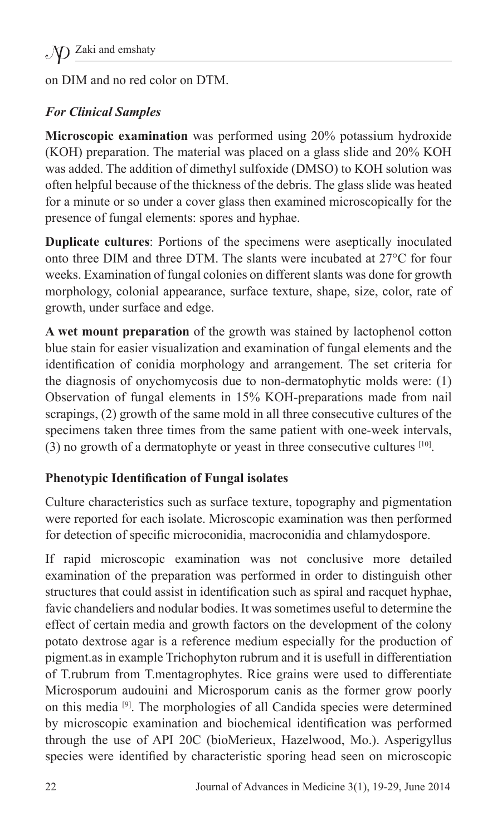on DIM and no red color on DTM.

### *For Clinical Samples*

**Microscopic examination** was performed using 20% potassium hydroxide (KOH) preparation. The material was placed on a glass slide and 20% KOH was added. The addition of dimethyl sulfoxide (DMSO) to KOH solution was often helpful because of the thickness of the debris. The glass slide was heated for a minute or so under a cover glass then examined microscopically for the presence of fungal elements: spores and hyphae.

**Duplicate cultures**: Portions of the specimens were aseptically inoculated onto three DIM and three DTM. The slants were incubated at 27°C for four weeks. Examination of fungal colonies on different slants was done for growth morphology, colonial appearance, surface texture, shape, size, color, rate of growth, under surface and edge.

**A wet mount preparation** of the growth was stained by lactophenol cotton blue stain for easier visualization and examination of fungal elements and the identification of conidia morphology and arrangement. The set criteria for the diagnosis of onychomycosis due to non-dermatophytic molds were: (1) Observation of fungal elements in 15% KOH-preparations made from nail scrapings, (2) growth of the same mold in all three consecutive cultures of the specimens taken three times from the same patient with one-week intervals, (3) no growth of a dermatophyte or yeast in three consecutive cultures [10].

#### **Phenotypic Identification of Fungal isolates**

Culture characteristics such as surface texture, topography and pigmentation were reported for each isolate. Microscopic examination was then performed for detection of specific microconidia, macroconidia and chlamydospore.

If rapid microscopic examination was not conclusive more detailed examination of the preparation was performed in order to distinguish other structures that could assist in identification such as spiral and racquet hyphae, favic chandeliers and nodular bodies. It was sometimes useful to determine the effect of certain media and growth factors on the development of the colony potato dextrose agar is a reference medium especially for the production of pigment.as in example Trichophyton rubrum and it is usefull in differentiation of T.rubrum from T.mentagrophytes. Rice grains were used to differentiate Microsporum audouini and Microsporum canis as the former grow poorly on this media [9]. The morphologies of all Candida species were determined by microscopic examination and biochemical identification was performed through the use of API 20C (bioMerieux, Hazelwood, Mo.). Asperigyllus species were identified by characteristic sporing head seen on microscopic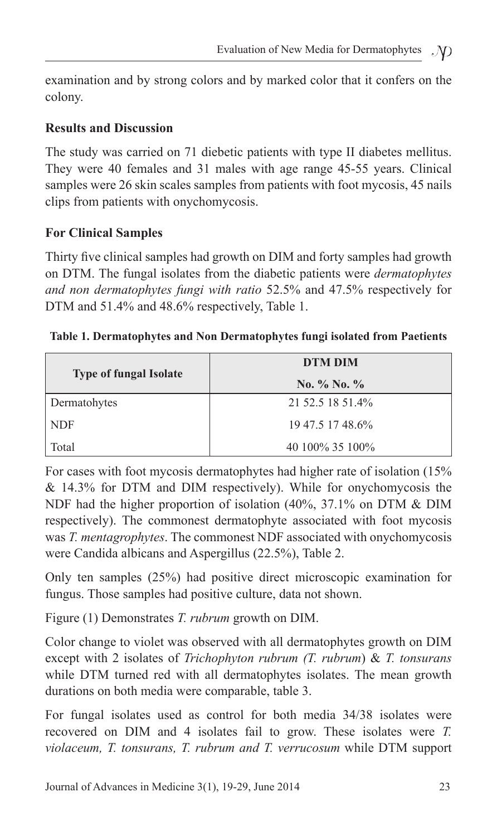examination and by strong colors and by marked color that it confers on the colony.

#### **Results and Discussion**

The study was carried on 71 diebetic patients with type II diabetes mellitus. They were 40 females and 31 males with age range 45-55 years. Clinical samples were 26 skin scales samples from patients with foot mycosis, 45 nails clips from patients with onychomycosis.

#### **For Clinical Samples**

Thirty five clinical samples had growth on DIM and forty samples had growth on DTM. The fungal isolates from the diabetic patients were *dermatophytes and non dermatophytes fungi with ratio* 52.5% and 47.5% respectively for DTM and 51.4% and 48.6% respectively, Table 1.

|                               | DTM DIM           |  |  |
|-------------------------------|-------------------|--|--|
| <b>Type of fungal Isolate</b> | No. $\%$ No. $\%$ |  |  |
| Dermatohytes                  | 21 52.5 18 51.4%  |  |  |
| <b>NDF</b>                    | 19 47.5 17 48.6%  |  |  |
| Total                         | 40 100\% 35 100\% |  |  |

**Table 1. Dermatophytes and Non Dermatophytes fungi isolated from Paetients**

For cases with foot mycosis dermatophytes had higher rate of isolation (15%  $& 14.3\%$  for DTM and DIM respectively). While for onychomycosis the NDF had the higher proportion of isolation (40%, 37.1% on DTM & DIM respectively). The commonest dermatophyte associated with foot mycosis was *T. mentagrophytes*. The commonest NDF associated with onychomycosis were Candida albicans and Aspergillus (22.5%), Table 2.

Only ten samples (25%) had positive direct microscopic examination for fungus. Those samples had positive culture, data not shown.

Figure (1) Demonstrates *T. rubrum* growth on DIM.

Color change to violet was observed with all dermatophytes growth on DIM except with 2 isolates of *Trichophyton rubrum (T. rubrum*) & *T. tonsurans* while DTM turned red with all dermatophytes isolates. The mean growth durations on both media were comparable, table 3.

For fungal isolates used as control for both media 34/38 isolates were recovered on DIM and 4 isolates fail to grow. These isolates were *T. violaceum, T. tonsurans, T. rubrum and T. verrucosum* while DTM support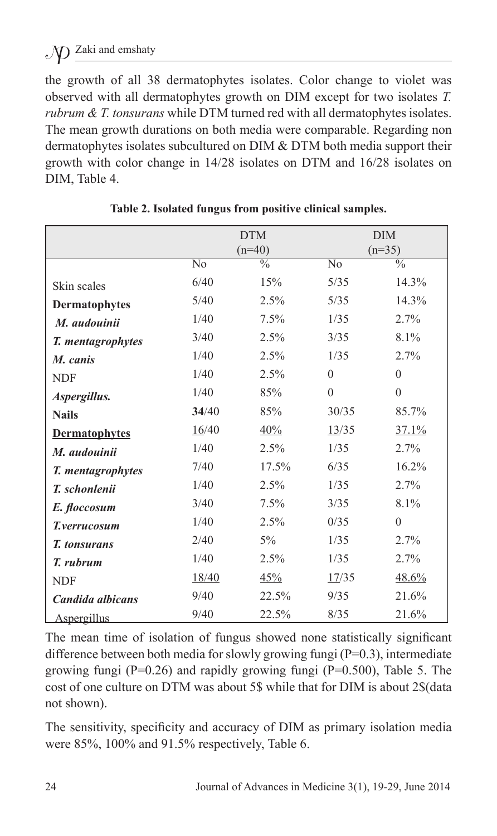the growth of all 38 dermatophytes isolates. Color change to violet was observed with all dermatophytes growth on DIM except for two isolates *T. rubrum & T. tonsurans* while DTM turned red with all dermatophytes isolates. The mean growth durations on both media were comparable. Regarding non dermatophytes isolates subcultured on DIM & DTM both media support their growth with color change in 14/28 isolates on DTM and 16/28 isolates on DIM, Table 4.

|                      | <b>DTM</b><br>$(n=40)$ |               | <b>DIM</b><br>$(n=35)$ |               |
|----------------------|------------------------|---------------|------------------------|---------------|
|                      | No                     | $\frac{0}{0}$ | $\overline{N_0}$       | $\frac{0}{0}$ |
| Skin scales          | 6/40                   | 15%           | 5/35                   | 14.3%         |
| <b>Dermatophytes</b> | 5/40                   | 2.5%          | 5/35                   | 14.3%         |
| M. audouinii         | 1/40                   | 7.5%          | 1/35                   | 2.7%          |
| T. mentagrophytes    | 3/40                   | 2.5%          | 3/35                   | 8.1%          |
| M. canis             | 1/40                   | 2.5%          | 1/35                   | 2.7%          |
| <b>NDF</b>           | 1/40                   | 2.5%          | $\overline{0}$         | $\mathbf{0}$  |
| Aspergillus.         | 1/40                   | 85%           | $\overline{0}$         | $\theta$      |
| <b>Nails</b>         | 34/40                  | 85%           | 30/35                  | 85.7%         |
| <b>Dermatophytes</b> | 16/40                  | 40%           | 13/35                  | 37.1%         |
| M. audouinii         | 1/40                   | 2.5%          | 1/35                   | 2.7%          |
| T. mentagrophytes    | 7/40                   | 17.5%         | 6/35                   | 16.2%         |
| T. schonlenii        | 1/40                   | 2.5%          | 1/35                   | 2.7%          |
| E. floccosum         | 3/40                   | 7.5%          | 3/35                   | 8.1%          |
| T.verrucosum         | 1/40                   | 2.5%          | 0/35                   | $\theta$      |
| <b>T.</b> tonsurans  | 2/40                   | $5\%$         | 1/35                   | 2.7%          |
| T. rubrum            | 1/40                   | 2.5%          | 1/35                   | 2.7%          |
| <b>NDF</b>           | 18/40                  | 45%           | 17/35                  | 48.6%         |
| Candida albicans     | 9/40                   | 22.5%         | 9/35                   | 21.6%         |
| Aspergillus          | 9/40                   | 22.5%         | 8/35                   | 21.6%         |

**Table 2. Isolated fungus from positive clinical samples.**

The mean time of isolation of fungus showed none statistically significant difference between both media for slowly growing fungi (P=0.3), intermediate growing fungi ( $P=0.26$ ) and rapidly growing fungi ( $P=0.500$ ), Table 5. The cost of one culture on DTM was about 5\$ while that for DIM is about 2\$(data not shown).

The sensitivity, specificity and accuracy of DIM as primary isolation media were 85%, 100% and 91.5% respectively, Table 6.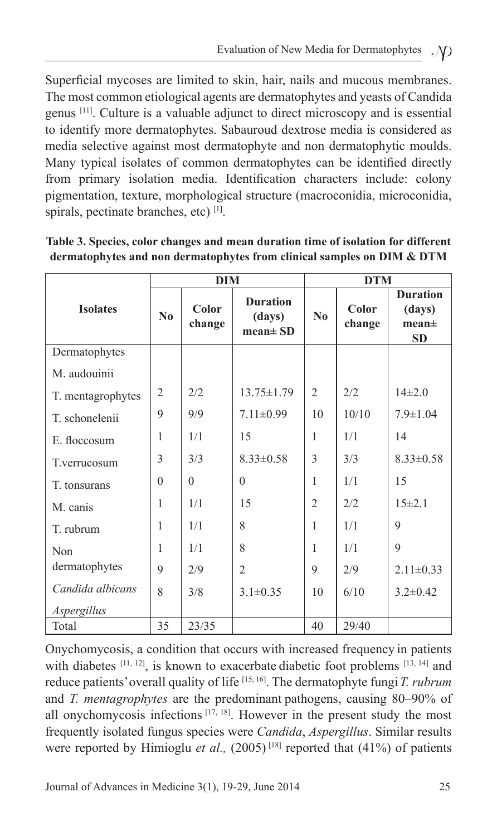Superficial mycoses are limited to skin, hair, nails and mucous membranes. The most common etiological agents are dermatophytes and yeasts of Candida genus [11]. Culture is a valuable adjunct to direct microscopy and is essential to identify more dermatophytes. Sabauroud dextrose media is considered as media selective against most dermatophyte and non dermatophytic moulds. Many typical isolates of common dermatophytes can be identified directly from primary isolation media. Identification characters include: colony pigmentation, texture, morphological structure (macroconidia, microconidia, spirals, pectinate branches, etc) [1].

|                   |                | <b>DIM</b>      |                                            | <b>DTM</b>     |                 |                                                             |  |
|-------------------|----------------|-----------------|--------------------------------------------|----------------|-----------------|-------------------------------------------------------------|--|
| <b>Isolates</b>   | $\bf N_0$      | Color<br>change | <b>Duration</b><br>(days)<br>$mean \pm SD$ | $\bf No$       | Color<br>change | <b>Duration</b><br>(days)<br>mean <sup>±</sup><br><b>SD</b> |  |
| Dermatophytes     |                |                 |                                            |                |                 |                                                             |  |
| M. audouinii      |                |                 |                                            |                |                 |                                                             |  |
| T. mentagrophytes | $\overline{2}$ | 2/2             | $13.75 \pm 1.79$                           | $\overline{2}$ | 2/2             | $14\pm2.0$                                                  |  |
| T. schonelenii    | 9              | 9/9             | $7.11 \pm 0.99$                            | 10             | 10/10           | $7.9 \pm 1.04$                                              |  |
| E. floccosum      | 1              | 1/1             | 15                                         | 1              | 1/1             | 14                                                          |  |
| T.verrucosum      | 3              | 3/3             | $8.33 \pm 0.58$                            | 3              | 3/3             | $8.33 \pm 0.58$                                             |  |
| T. tonsurans      | $\Omega$       | $\Omega$        | $\theta$                                   | 1              | 1/1             | 15                                                          |  |
| M. canis          | 1              | 1/1             | 15                                         | $\mathfrak{2}$ | 2/2             | 15±21                                                       |  |
| T. rubrum         | 1              | 1/1             | 8                                          | 1              | 1/1             | 9                                                           |  |
| Non               | 1              | 1/1             | 8                                          | 1              | 1/1             | $\mathbf Q$                                                 |  |
| dermatophytes     | 9              | 2/9             | $\overline{2}$                             | 9              | 2/9             | $2.11 \pm 0.33$                                             |  |
| Candida albicans  | 8              | 3/8             | $3.1 \pm 0.35$                             | 10             | 6/10            | $3.2\pm 0.42$                                               |  |
| Aspergillus       |                |                 |                                            |                |                 |                                                             |  |
| Total             | 35             | 23/35           |                                            | 40             | 29/40           |                                                             |  |

**Table 3. Species, color changes and mean duration time of isolation for different dermatophytes and non dermatophytes from clinical samples on DIM & DTM**

Onychomycosis, a condition that occurs with increased frequency in patients with diabetes [11, 12], is known to exacerbate diabetic foot problems [13, 14] and reduce patients'overall quality of life [15, 16]. The dermatophyte fungi*T. rubrum* and *T. mentagrophytes* are the predominant pathogens, causing 80–90% of all onychomycosis infections  $[17, 18]$ . However in the present study the most frequently isolated fungus species were *Candida*, *Aspergillus*. Similar results were reported by Himioglu *et al.*,  $(2005)^{18}$  reported that  $(41%)$  of patients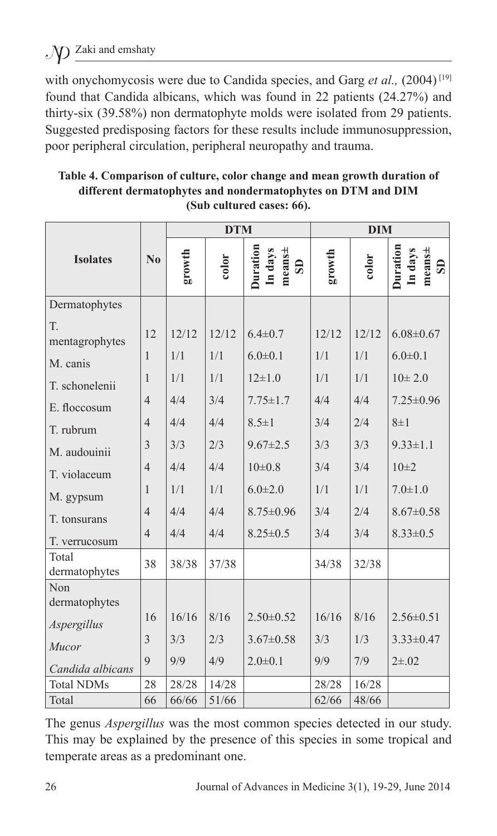with onychomycosis were due to Candida species, and Garg *et al.*, (2004)<sup>[19]</sup> found that Candida albicans, which was found in 22 patients (24.27%) and thirty-six (39.58%) non dermatophyte molds were isolated from 29 patients. Suggested predisposing factors for these results include immunosuppression, poor peripheral circulation, peripheral neuropathy and trauma.

|                        |                | <b>DTM</b> |       |                                                   | <b>DIM</b> |       |                                               |
|------------------------|----------------|------------|-------|---------------------------------------------------|------------|-------|-----------------------------------------------|
| <b>Isolates</b>        | $\bf No$       | growth     | color | Duration<br>In days<br>$mean \pm$<br>$\mathbf{S}$ | growth     | color | Duration<br>In days<br>means±<br>$\mathbf{S}$ |
| Dermatophytes          |                |            |       |                                                   |            |       |                                               |
| T.<br>mentagrophytes   | 12             | 12/12      | 12/12 | $6.4 \pm 0.7$                                     | 12/12      | 12/12 | $6.08 \pm 0.67$                               |
| M. canis               | $\mathbf{1}$   | 1/1        | 1/1   | $6.0 \pm 0.1$                                     | 1/1        | 1/1   | $6.0 \pm 0.1$                                 |
| T. schonelenii         | $\mathbf{1}$   | 1/1        | 1/1   | $12\pm1.0$                                        | 1/1        | 1/1   | $10 \pm 2.0$                                  |
| E. floccosum           | $\overline{4}$ | 4/4        | 3/4   | $7.75 \pm 1.7$                                    | 4/4        | 4/4   | $7.25 \pm 0.96$                               |
| T. rubrum              | $\overline{4}$ | 4/4        | 4/4   | $8.5 \pm 1$                                       | 3/4        | 2/4   | $8\pm1$                                       |
| M. audouinii           | 3              | 3/3        | 2/3   | $9.67 \pm 2.5$                                    | 3/3        | 3/3   | $9.33 \pm 1.1$                                |
| T. violaceum           | $\overline{4}$ | 4/4        | 4/4   | $10\pm0.8$                                        | 3/4        | 3/4   | $10\pm 2$                                     |
| M. gypsum              | $\mathbf{1}$   | 1/1        | 1/1   | $6.0 \pm 2.0$                                     | 1/1        | 1/1   | $7.0 \pm 1.0$                                 |
| T. tonsurans           | $\overline{4}$ | 4/4        | 4/4   | $8.75 \pm 0.96$                                   | 3/4        | 2/4   | $8.67 \pm 0.58$                               |
| T. verrucosum          | $\overline{4}$ | 4/4        | 4/4   | $8.25 \pm 0.5$                                    | 3/4        | 3/4   | $8.33 \pm 0.5$                                |
| Total<br>dermatophytes | 38             | 38/38      | 37/38 |                                                   | 34/38      | 32/38 |                                               |
| Non                    |                |            |       |                                                   |            |       |                                               |
| dermatophytes          | 16             | 16/16      | 8/16  | $2.50 \pm 0.52$                                   | 16/16      | 8/16  | $2.56 \pm 0.51$                               |
| Aspergillus            |                |            |       |                                                   |            |       |                                               |
| Mucor                  | 3              | 3/3        | 2/3   | $3.67 \pm 0.58$                                   | 3/3        | 1/3   | $3.33 \pm 0.47$                               |
| Candida albicans       | 9              | 9/9        | 4/9   | $2.0 \pm 0.1$                                     | 9/9        | 7/9   | $2\pm.02$                                     |
| <b>Total NDMs</b>      | 28             | 28/28      | 14/28 |                                                   | 28/28      | 16/28 |                                               |
| Total                  | 66             | 66/66      | 51/66 |                                                   | 62/66      | 48/66 |                                               |

**Table 4. Comparison of culture, color change and mean growth duration of different dermatophytes and nondermatophytes on DTM and DIM (Sub cultured cases: 66).**

The genus *Aspergillus* was the most common species detected in our study. This may be explained by the presence of this species in some tropical and temperate areas as a predominant one.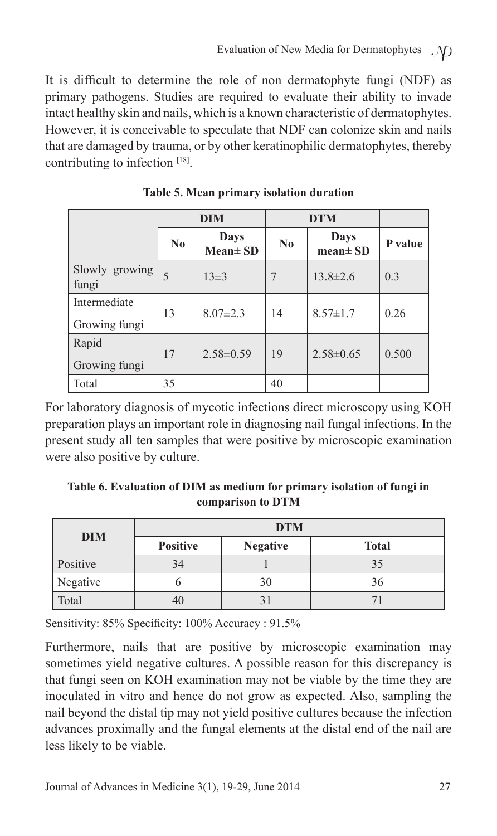It is difficult to determine the role of non dermatophyte fungi (NDF) as primary pathogens. Studies are required to evaluate their ability to invade intact healthy skin and nails, which is a known characteristic of dermatophytes. However, it is conceivable to speculate that NDF can colonize skin and nails that are damaged by trauma, or by other keratinophilic dermatophytes, thereby contributing to infection [18].

|                               | <b>DIM</b>     |                       | <b>DTM</b> |                       |         |
|-------------------------------|----------------|-----------------------|------------|-----------------------|---------|
|                               | N <sub>0</sub> | Days<br>$Mean \pm SD$ | $\bf No$   | Days<br>$mean \pm SD$ | P value |
| Slowly growing<br>fungi       | 5              | $13\pm3$              | 7          | $13.8 \pm 2.6$        | 0.3     |
| Intermediate<br>Growing fungi | 13             | $8.07 \pm 2.3$        | 14         | $8.57 \pm 1.7$        | 0.26    |
| Rapid<br>Growing fungi        | 17             | $2.58 \pm 0.59$       | 19         | $2.58 \pm 0.65$       | 0.500   |
| Total                         | 35             |                       | 40         |                       |         |

**Table 5. Mean primary isolation duration**

For laboratory diagnosis of mycotic infections direct microscopy using KOH preparation plays an important role in diagnosing nail fungal infections. In the present study all ten samples that were positive by microscopic examination were also positive by culture.

#### **Table 6. Evaluation of DIM as medium for primary isolation of fungi in comparison to DTM**

|            | <b>DTM</b>      |                 |              |  |  |  |  |
|------------|-----------------|-----------------|--------------|--|--|--|--|
| <b>DIM</b> | <b>Positive</b> | <b>Negative</b> | <b>Total</b> |  |  |  |  |
| Positive   | 34              |                 | 35           |  |  |  |  |
| Negative   |                 | 30              | 36           |  |  |  |  |
| Total      | 40              |                 |              |  |  |  |  |

Sensitivity: 85% Specificity: 100% Accuracy : 91.5%

Furthermore, nails that are positive by microscopic examination may sometimes yield negative cultures. A possible reason for this discrepancy is that fungi seen on KOH examination may not be viable by the time they are inoculated in vitro and hence do not grow as expected. Also, sampling the nail beyond the distal tip may not yield positive cultures because the infection advances proximally and the fungal elements at the distal end of the nail are less likely to be viable.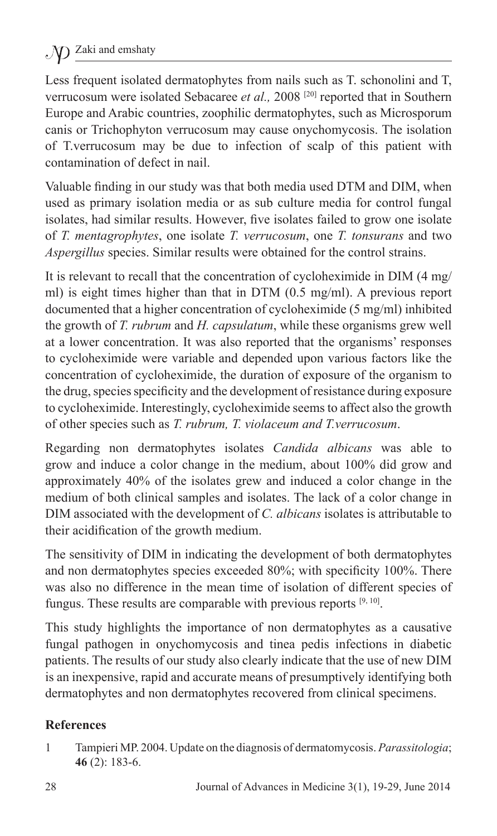Less frequent isolated dermatophytes from nails such as T. schonolini and T, verrucosum were isolated Sebacaree *et al.,* 2008 [20] reported that in Southern Europe and Arabic countries, zoophilic dermatophytes, such as Microsporum canis or Trichophyton verrucosum may cause onychomycosis. The isolation of T.verrucosum may be due to infection of scalp of this patient with contamination of defect in nail.

Valuable finding in our study was that both media used DTM and DIM, when used as primary isolation media or as sub culture media for control fungal isolates, had similar results. However, five isolates failed to grow one isolate of *T. mentagrophytes*, one isolate *T. verrucosum*, one *T. tonsurans* and two *Aspergillus* species. Similar results were obtained for the control strains.

It is relevant to recall that the concentration of cycloheximide in DIM (4 mg/ ml) is eight times higher than that in DTM (0.5 mg/ml). A previous report documented that a higher concentration of cycloheximide (5 mg/ml) inhibited the growth of *T. rubrum* and *H. capsulatum*, while these organisms grew well at a lower concentration. It was also reported that the organisms' responses to cycloheximide were variable and depended upon various factors like the concentration of cycloheximide, the duration of exposure of the organism to the drug, species specificity and the development of resistance during exposure to cycloheximide. Interestingly, cycloheximide seems to affect also the growth of other species such as *T. rubrum, T. violaceum and T.verrucosum*.

Regarding non dermatophytes isolates *Candida albicans* was able to grow and induce a color change in the medium, about 100% did grow and approximately 40% of the isolates grew and induced a color change in the medium of both clinical samples and isolates. The lack of a color change in DIM associated with the development of *C. albicans* isolates is attributable to their acidification of the growth medium.

The sensitivity of DIM in indicating the development of both dermatophytes and non dermatophytes species exceeded 80%; with specificity 100%. There was also no difference in the mean time of isolation of different species of fungus. These results are comparable with previous reports  $[9, 10]$ .

This study highlights the importance of non dermatophytes as a causative fungal pathogen in onychomycosis and tinea pedis infections in diabetic patients. The results of our study also clearly indicate that the use of new DIM is an inexpensive, rapid and accurate means of presumptively identifying both dermatophytes and non dermatophytes recovered from clinical specimens.

#### **References**

1 Tampieri MP. 2004. Update on the diagnosis of dermatomycosis. *Parassitologia*; **46** (2): 183-6.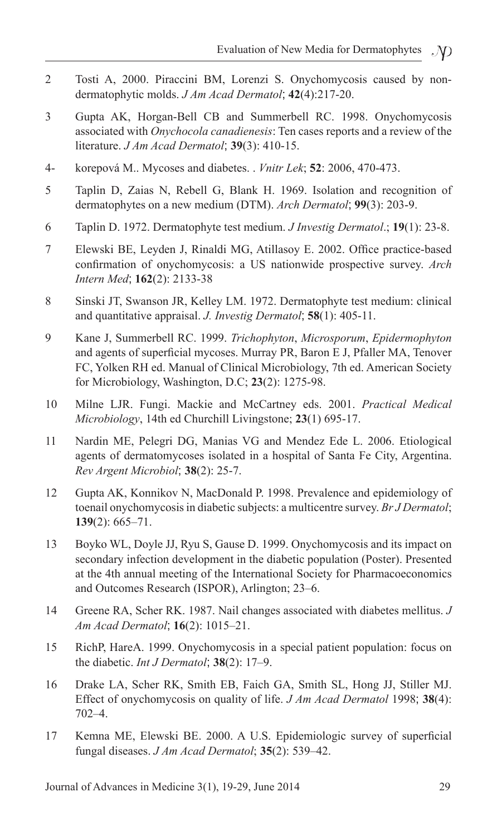- 2 Tosti A, 2000. Piraccini BM, Lorenzi S. Onychomycosis caused by nondermatophytic molds. *J Am Acad Dermatol*; **42**(4):217-20.
- 3 Gupta AK, Horgan-Bell CB and Summerbell RC. 1998. Onychomycosis associated with *Onychocola canadienesis*: Ten cases reports and a review of the literature. *J Am Acad Dermatol*; **39**(3): 410-15.
- 4- korepová M.. Mycoses and diabetes. . *Vnitr Lek*; **52**: 2006, 470-473.
- 5 Taplin D, Zaias N, Rebell G, Blank H. 1969. Isolation and recognition of dermatophytes on a new medium (DTM). *Arch Dermatol*; **99**(3): 203-9.
- 6 Taplin D. 1972. Dermatophyte test medium. *J Investig Dermatol*.; **19**(1): 23-8.
- 7 Elewski BE, Leyden J, Rinaldi MG, Atillasoy E. 2002. Office practice-based confirmation of onychomycosis: a US nationwide prospective survey. *Arch Intern Med*; **162**(2): 2133-38
- 8 Sinski JT, Swanson JR, Kelley LM. 1972. Dermatophyte test medium: clinical and quantitative appraisal. *J. Investig Dermatol*; **58**(1): 405-11.
- 9 Kane J, Summerbell RC. 1999. *Trichophyton*, *Microsporum*, *Epidermophyton* and agents of superficial mycoses. Murray PR, Baron E J, Pfaller MA, Tenover FC, Yolken RH ed. Manual of Clinical Microbiology, 7th ed. American Society for Microbiology, Washington, D.C; **23**(2): 1275-98.
- 10 Milne LJR. Fungi. Mackie and McCartney eds. 2001. *Practical Medical Microbiology*, 14th ed Churchill Livingstone; **23**(1) 695-17.
- 11 Nardin ME, Pelegri DG, Manias VG and Mendez Ede L. 2006. Etiological agents of dermatomycoses isolated in a hospital of Santa Fe City, Argentina. *Rev Argent Microbiol*; **38**(2): 25-7.
- 12 Gupta AK, Konnikov N, MacDonald P. 1998. Prevalence and epidemiology of toenail onychomycosis in diabetic subjects: a multicentre survey. *Br J Dermatol*; **139**(2): 665–71.
- 13 Boyko WL, Doyle JJ, Ryu S, Gause D. 1999. Onychomycosis and its impact on secondary infection development in the diabetic population (Poster). Presented at the 4th annual meeting of the International Society for Pharmacoeconomics and Outcomes Research (ISPOR), Arlington; 23–6.
- 14 Greene RA, Scher RK. 1987. Nail changes associated with diabetes mellitus. *J Am Acad Dermatol*; **16**(2): 1015–21.
- 15 RichP, HareA. 1999. Onychomycosis in a special patient population: focus on the diabetic. *Int J Dermatol*; **38**(2): 17–9.
- 16 Drake LA, Scher RK, Smith EB, Faich GA, Smith SL, Hong JJ, Stiller MJ. Effect of onychomycosis on quality of life. *J Am Acad Dermatol* 1998; **38**(4): 702–4.
- 17 Kemna ME, Elewski BE. 2000. A U.S. Epidemiologic survey of superficial fungal diseases. *J Am Acad Dermatol*; **35**(2): 539–42.